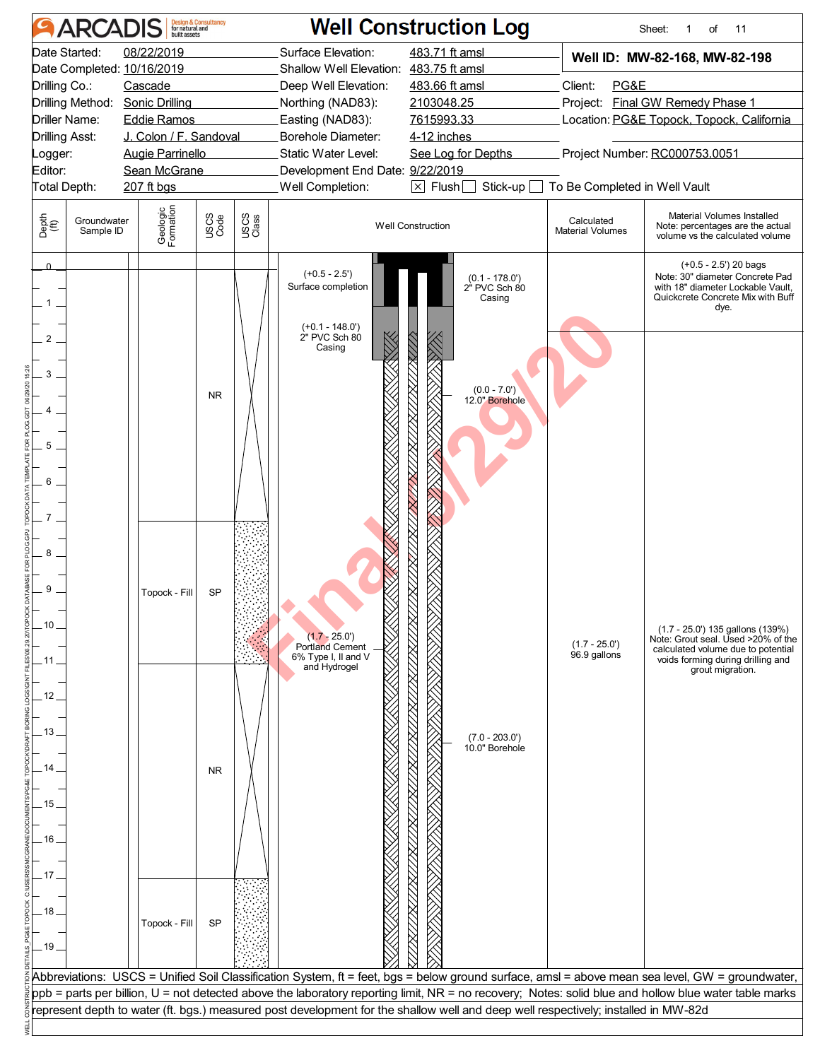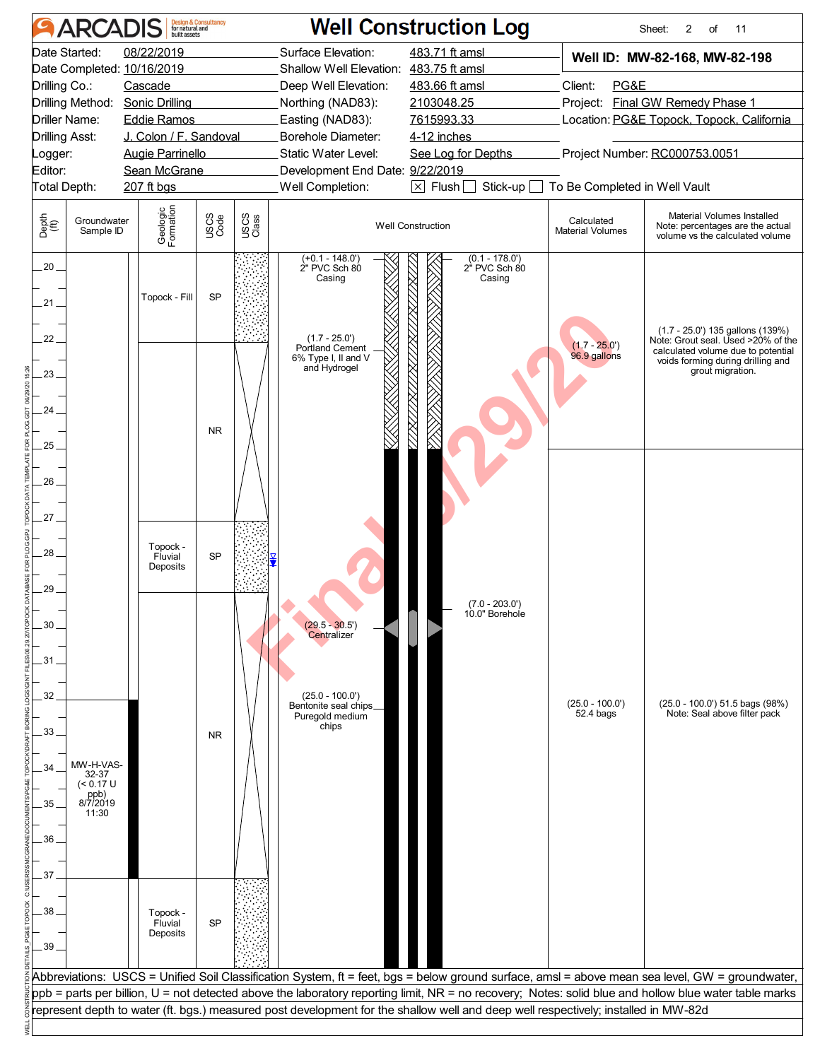|                                                                                                                                                                  | <b>ARCADIS</b>                                               | <b>Design &amp; Consultancy</b><br>for natural and<br>built assets                                                            |                        |               |                                                                                                                                                                                                                                                                                                                                                                                                       | <b>Well Construction Log</b>                                                                                                       |                                                                                                                                                                                                     | 2<br>Sheet:<br>of<br>11                                                                                                                                                                                                                                                                                  |
|------------------------------------------------------------------------------------------------------------------------------------------------------------------|--------------------------------------------------------------|-------------------------------------------------------------------------------------------------------------------------------|------------------------|---------------|-------------------------------------------------------------------------------------------------------------------------------------------------------------------------------------------------------------------------------------------------------------------------------------------------------------------------------------------------------------------------------------------------------|------------------------------------------------------------------------------------------------------------------------------------|-----------------------------------------------------------------------------------------------------------------------------------------------------------------------------------------------------|----------------------------------------------------------------------------------------------------------------------------------------------------------------------------------------------------------------------------------------------------------------------------------------------------------|
| Date Started:<br>Date Completed: 10/16/2019<br>Drilling Co.:<br>Drilling Method:<br>Driller Name:<br><b>Drilling Asst:</b><br>Logger:<br>Editor:<br>Total Depth: |                                                              | 08/22/2019<br>Cascade<br><b>Sonic Drilling</b><br><b>Eddie Ramos</b><br><b>Augie Parrinello</b><br>Sean McGrane<br>207 ft bgs | J. Colon / F. Sandoval |               | 483.71 ft amsl<br>Surface Elevation:<br>Shallow Well Elevation: 483.75 ft amsl<br>Deep Well Elevation:<br>483.66 ft amsl<br>2103048.25<br>Northing (NAD83):<br>Easting (NAD83):<br>7615993.33<br>Borehole Diameter:<br>4-12 inches<br>Static Water Level:<br>See Log for Depths<br>Development End Date: 9/22/2019<br>Well Completion:<br>$\boxed{\times}$ Flush $\boxed{\square}$<br>Stick-up $\Box$ |                                                                                                                                    | Well ID: MW-82-168, MW-82-198<br>PG&E<br>Client:<br>Project: Final GW Remedy Phase 1<br>Location: PG&E Topock, Topock, California<br>Project Number: RC000753.0051<br>To Be Completed in Well Vault |                                                                                                                                                                                                                                                                                                          |
| Depth<br>(ft)                                                                                                                                                    | Groundwater<br>Sample ID                                     | Geologic<br>Formation                                                                                                         | USCS<br>Code           | USCS<br>Class |                                                                                                                                                                                                                                                                                                                                                                                                       | <b>Well Construction</b>                                                                                                           | Calculated<br><b>Material Volumes</b>                                                                                                                                                               | Material Volumes Installed<br>Note: percentages are the actual<br>volume vs the calculated volume                                                                                                                                                                                                        |
| $.20 -$<br>21.<br>22<br>23.                                                                                                                                      |                                                              | Topock - Fill                                                                                                                 | SP                     |               | $(+0.1 - 148.0')$<br>2" PVC Sch 80<br>Casing<br>$(1.7 - 25.0')$<br>Portland Cement<br>6% Type I, II and V<br>and Hydrogel                                                                                                                                                                                                                                                                             | $(0.1 - 178.0')$<br>2" PVC Sch 80<br>Casing                                                                                        | $(1.7 - 25.0')$<br>96.9 gallons                                                                                                                                                                     | (1.7 - 25.0') 135 gallons (139%)<br>Note: Grout seal. Used >20% of the<br>calculated volume due to potential<br>voids forming during drilling and<br>grout migration.                                                                                                                                    |
| 24<br>25 <sub>1</sub><br>26                                                                                                                                      |                                                              |                                                                                                                               | <b>NR</b>              |               |                                                                                                                                                                                                                                                                                                                                                                                                       |                                                                                                                                    |                                                                                                                                                                                                     |                                                                                                                                                                                                                                                                                                          |
| 27.<br>28<br>29                                                                                                                                                  |                                                              | Topock -<br>Fluvial<br>Deposits                                                                                               | SP                     |               |                                                                                                                                                                                                                                                                                                                                                                                                       | $(7.0 - 203.0')$<br>10.0" Borenoie                                                                                                 |                                                                                                                                                                                                     |                                                                                                                                                                                                                                                                                                          |
| 30<br>31<br>32<br>33                                                                                                                                             |                                                              |                                                                                                                               | <b>NR</b>              |               | $(29.5 - 30.5')$<br>Centralizer<br>$(25.0 - 100.0')$<br>Bentonite seal chips_<br>Puregold medium<br>chips                                                                                                                                                                                                                                                                                             |                                                                                                                                    | $(25.0 - 100.0')$<br>52.4 bags                                                                                                                                                                      | (25.0 - 100.0') 51.5 bags (98%)<br>Note: Seal above filter pack                                                                                                                                                                                                                                          |
| .35<br>36                                                                                                                                                        | MW-H-VAS-<br>32-37<br>(< 0.17 U<br>ppb)<br>8/7/2019<br>11:30 |                                                                                                                               |                        |               |                                                                                                                                                                                                                                                                                                                                                                                                       |                                                                                                                                    |                                                                                                                                                                                                     |                                                                                                                                                                                                                                                                                                          |
| 37<br>38<br>.39                                                                                                                                                  |                                                              | Topock -<br>Fluvial<br>Deposits                                                                                               | <b>SP</b>              |               |                                                                                                                                                                                                                                                                                                                                                                                                       |                                                                                                                                    |                                                                                                                                                                                                     |                                                                                                                                                                                                                                                                                                          |
|                                                                                                                                                                  |                                                              |                                                                                                                               |                        |               |                                                                                                                                                                                                                                                                                                                                                                                                       | represent depth to water (ft. bgs.) measured post development for the shallow well and deep well respectively; installed in MW-82d |                                                                                                                                                                                                     | Abbreviations: USCS = Unified Soil Classification System, ft = feet, bgs = below ground surface, amsl = above mean sea level, GW = groundwater,<br>ppb = parts per billion, U = not detected above the laboratory reporting limit, NR = no recovery; Notes: solid blue and hollow blue water table marks |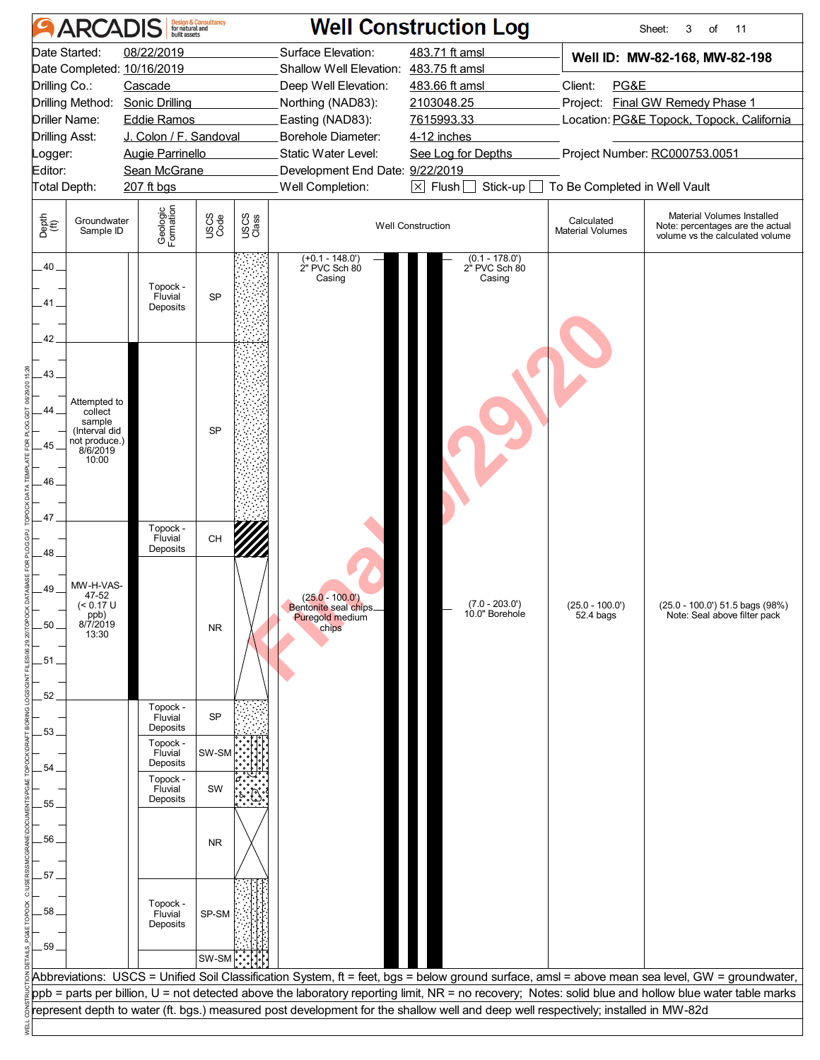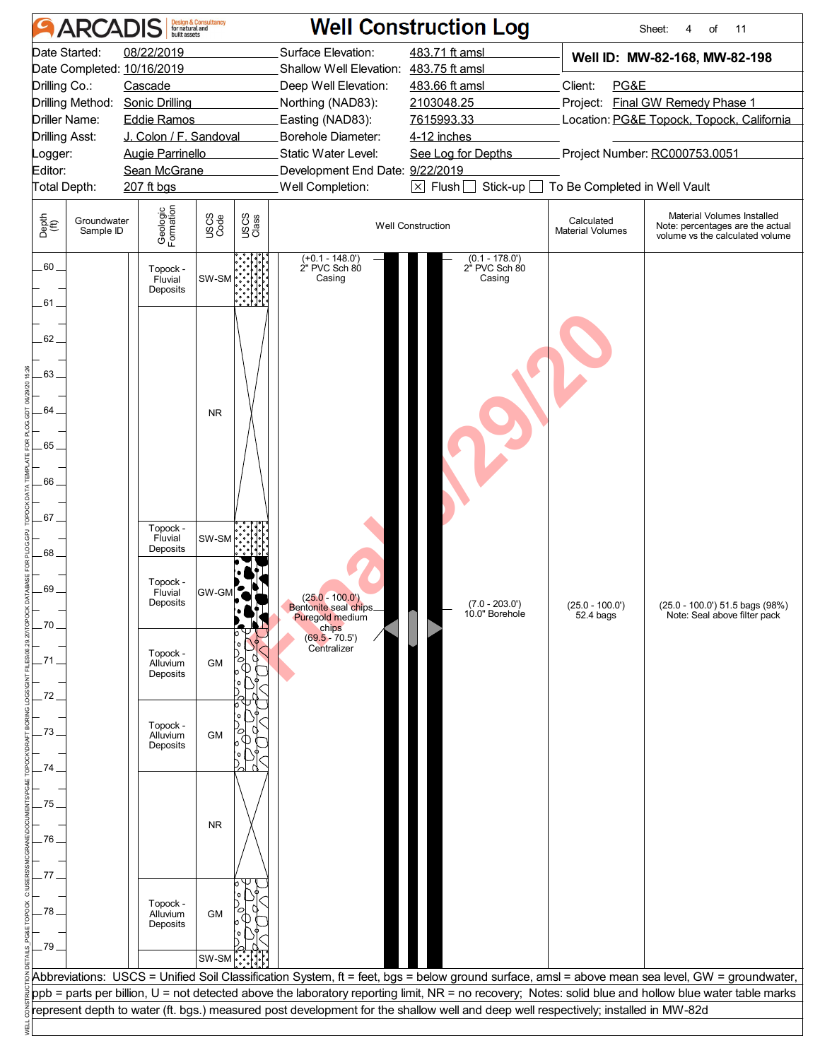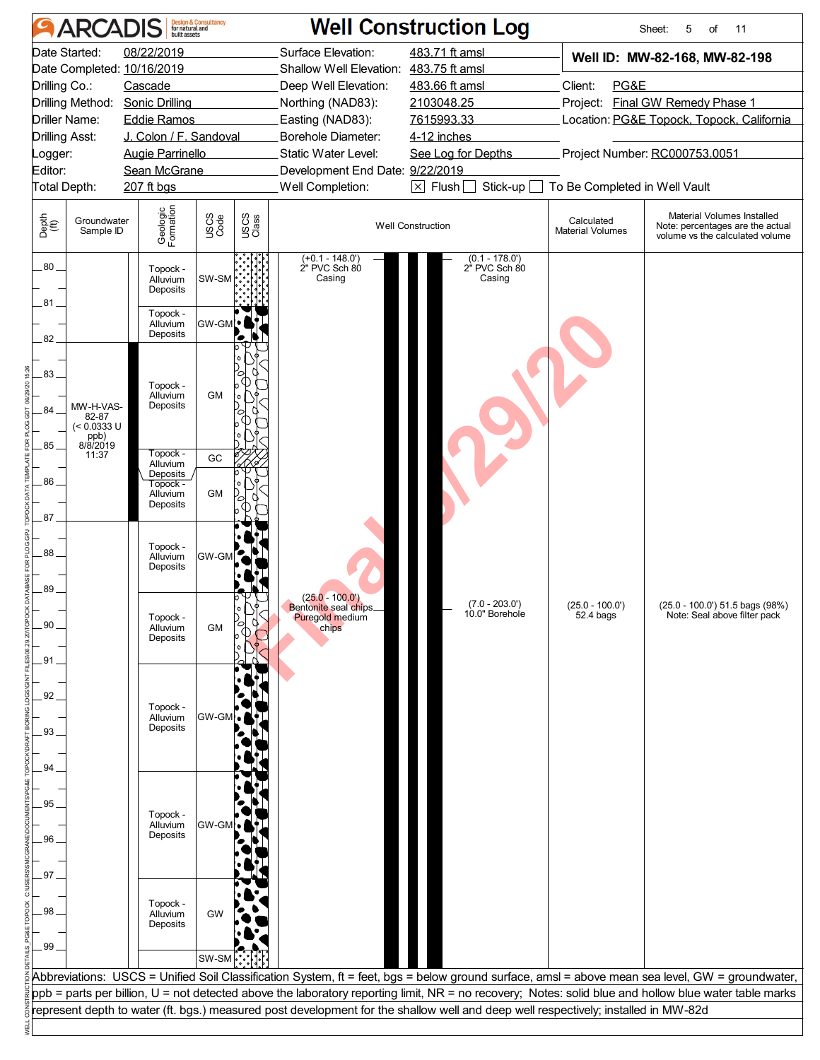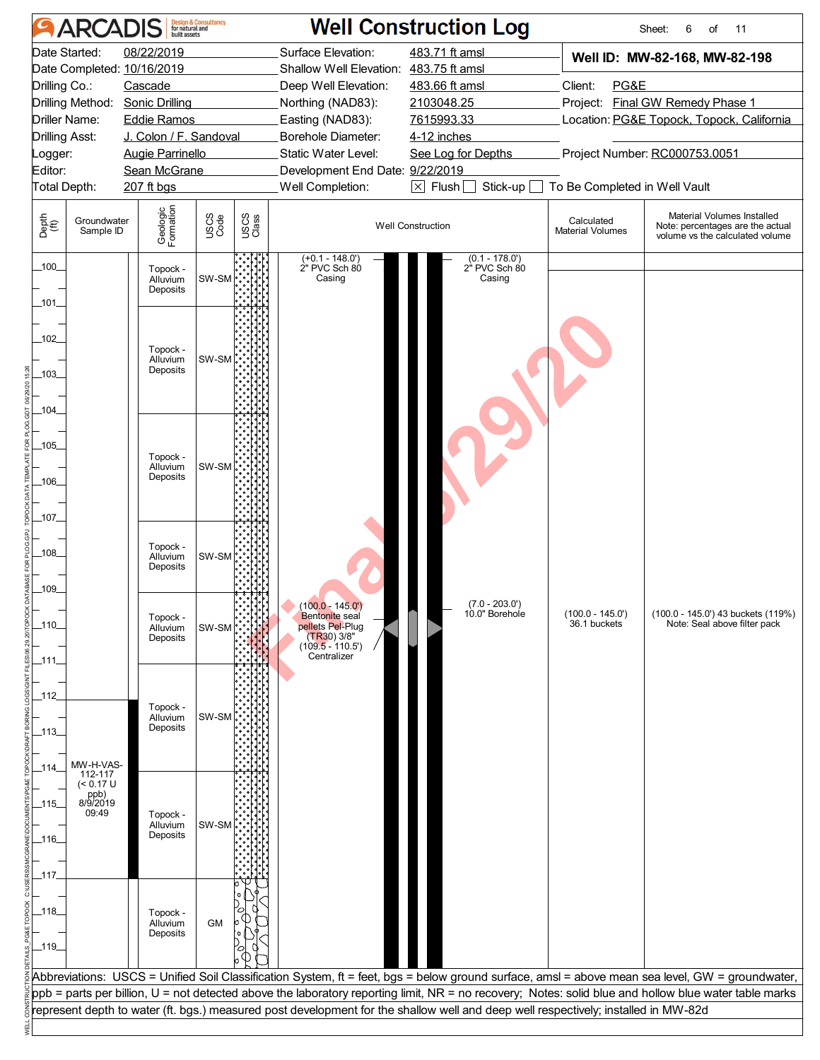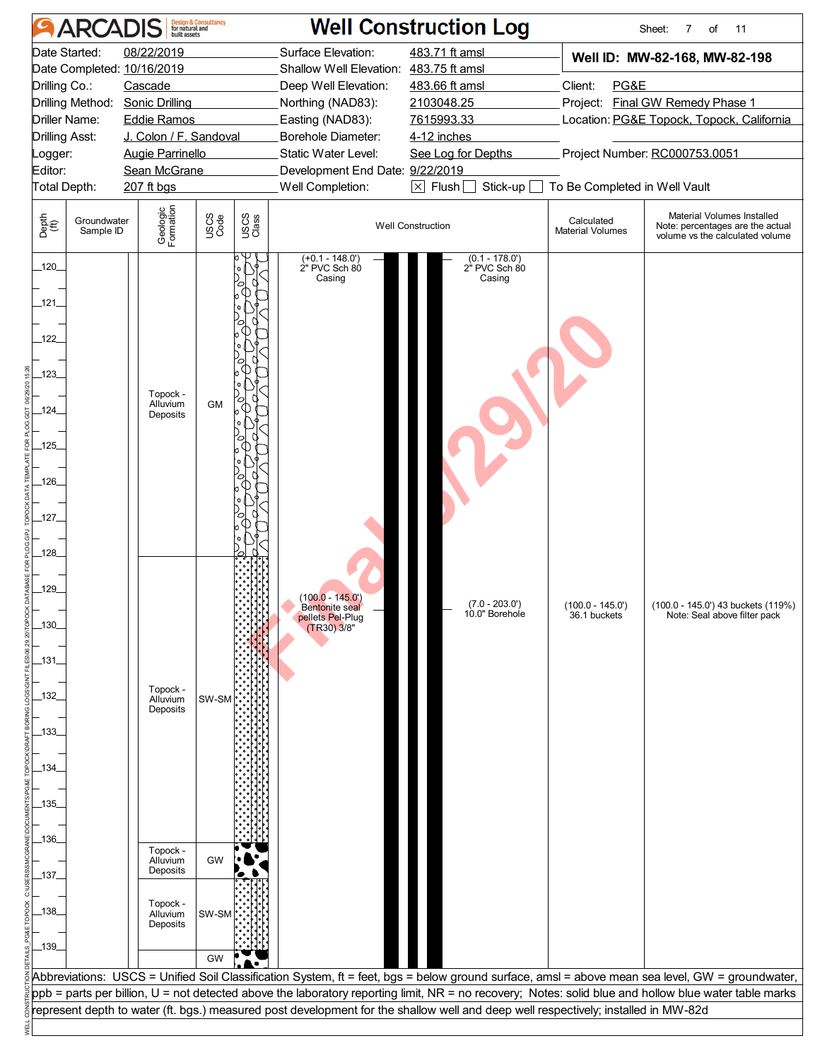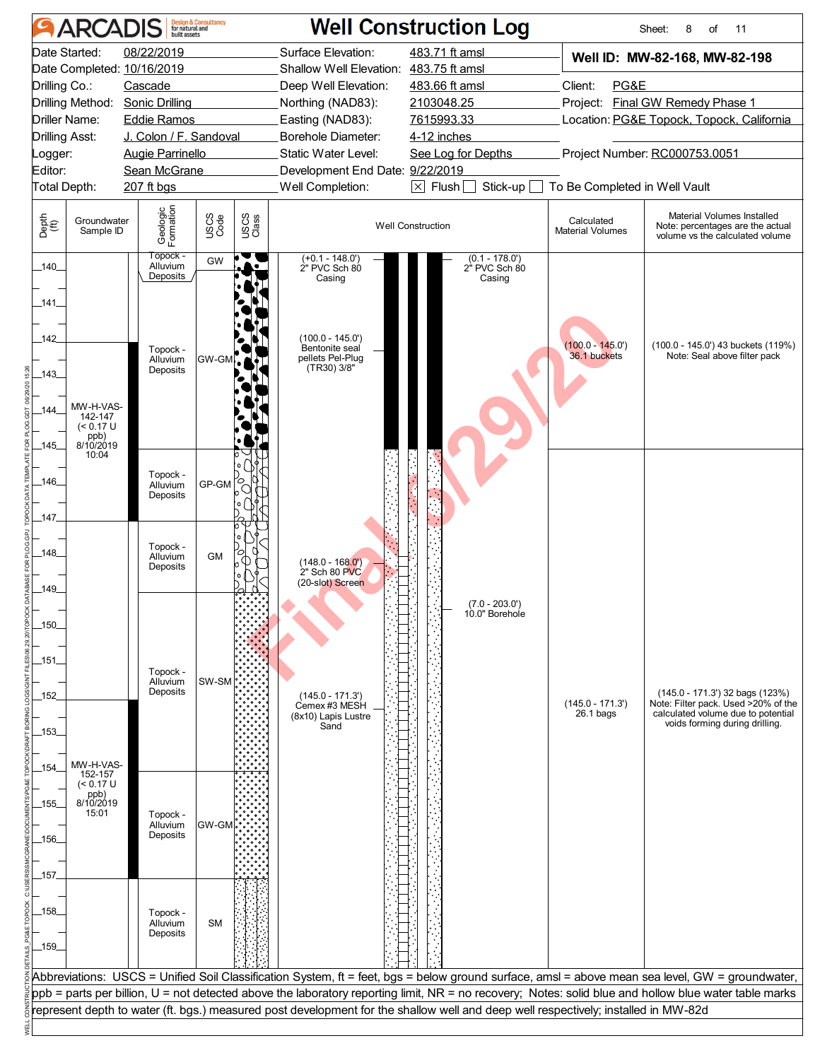| <b>ARCADIS</b>                                                                                                                                                   | <b>Design &amp; Consultancy</b><br>for natural and                                                                                               |                                                                                                                                                                                                                                                                                             | <b>Well Construction Log</b>                                                                                                  |                                                                                                                                                                                                              | Sheet:<br>8<br>of<br>11                                                                                                                         |
|------------------------------------------------------------------------------------------------------------------------------------------------------------------|--------------------------------------------------------------------------------------------------------------------------------------------------|---------------------------------------------------------------------------------------------------------------------------------------------------------------------------------------------------------------------------------------------------------------------------------------------|-------------------------------------------------------------------------------------------------------------------------------|--------------------------------------------------------------------------------------------------------------------------------------------------------------------------------------------------------------|-------------------------------------------------------------------------------------------------------------------------------------------------|
| Date Started:<br>Date Completed: 10/16/2019<br>Drilling Co.:<br>Drilling Method:<br>Driller Name:<br><b>Drilling Asst:</b><br>Logger:<br>Editor:<br>Total Depth: | 08/22/2019<br>Cascade<br>Sonic Drilling<br><b>Eddie Ramos</b><br>J. Colon / F. Sandoval<br><b>Augie Parrinello</b><br>Sean McGrane<br>207 ft bgs | Surface Elevation:<br>Shallow Well Elevation: 483.75 ft amsl<br>Deep Well Elevation:<br>Northing (NAD83):<br>Easting (NAD83):<br>Borehole Diameter:<br>Static Water Level:<br>Development End Date: 9/22/2019<br>Well Completion:                                                           | 483.71 ft amsl<br>483.66 ft amsl<br>2103048.25<br>7615993.33<br>4-12 inches<br>See Log for Depths<br>$\boxtimes$ Flush $\Box$ | Well ID: MW-82-168, MW-82-198<br>Client:<br>PG&E<br>Project: Final GW Remedy Phase 1<br>Location: PG&E Topock, Topock, California<br>Project Number: RC000753.0051<br>Stick-up To Be Completed in Well Vault |                                                                                                                                                 |
| Depth<br>(ft)<br>Groundwater<br>Sample ID                                                                                                                        | Geologic<br>Formation<br>USCS<br>Code                                                                                                            | USCS<br>Class                                                                                                                                                                                                                                                                               | <b>Well Construction</b>                                                                                                      | Calculated<br><b>Material Volumes</b>                                                                                                                                                                        | Material Volumes Installed<br>Note: percentages are the actual<br>volume vs the calculated volume                                               |
| $-140$<br>141<br>142<br>$-143$<br>MW-H-VAS-<br>.144<br>142-147<br>(< 0.17 U<br>ppb)<br>8/10/2019<br>_145_                                                        | Тороск -<br>GW<br>Alluvium<br>Deposits<br>Topock -<br>Alluvium<br><b>GW-GM</b> , AT<br>Deposits                                                  | $(+0.1 - 148.0)$<br>2" PVC Sch 80<br>Casing<br>$(100.0 - 145.0)$<br>Bentonite seal<br>pellets Pel-Plug<br>(TR30) 3/8"                                                                                                                                                                       | $(0.1 - 178.0)$<br>2" PVC Sch 80<br>Casing                                                                                    | $(100.0 - 145.0')$<br>36.1 buckets                                                                                                                                                                           | (100.0 - 145.0') 43 buckets (119%)<br>Note: Seal above filter pack                                                                              |
| 10:04<br>_146_<br>147<br>148                                                                                                                                     | Topock -<br>ro<br>C<br>$GP-GM$<br>Alluvium<br>Deposits<br>Topock -<br>О<br><b>GM</b><br>Alluvium<br>Deposits                                     | $(148.0 - 168.0')$<br>2" Sch 80 PVC<br>(20-slot) Screen                                                                                                                                                                                                                                     |                                                                                                                               |                                                                                                                                                                                                              |                                                                                                                                                 |
| 149<br>$-150$<br>_151_<br>152<br>.153.<br>MW-H-VAS-<br>154.                                                                                                      | Topock -<br>Alluvium<br>SW-SM<br>Deposits                                                                                                        | $(145.0 - 171.3)$<br>Cemex #3 MESH<br>(8x10) Lapis Lustre<br>Sand                                                                                                                                                                                                                           | $(7.0 - 203.0')$<br>10.0" Borehole                                                                                            | $(145.0 - 171.3')$<br>$26.1$ bags                                                                                                                                                                            | (145.0 - 171.3') 32 bags (123%)<br>Note: Filter pack. Used >20% of the<br>calculated volume due to potential<br>voids forming during drilling.  |
| 152-157<br>(< 0.17 U<br>ppb)<br>8/10/2019<br>_155_<br>15:01<br>_156_<br>.157.                                                                                    | Topock -<br>Alluvium<br>GW-GM<br>Deposits                                                                                                        |                                                                                                                                                                                                                                                                                             |                                                                                                                               |                                                                                                                                                                                                              |                                                                                                                                                 |
| _158_<br>$-159$                                                                                                                                                  | Topock -<br>Alluvium<br><b>SM</b><br>Deposits                                                                                                    |                                                                                                                                                                                                                                                                                             |                                                                                                                               |                                                                                                                                                                                                              |                                                                                                                                                 |
|                                                                                                                                                                  |                                                                                                                                                  | ppb = parts per billion, U = not detected above the laboratory reporting limit, NR = no recovery; Notes: solid blue and hollow blue water table marks<br>represent depth to water (ft. bgs.) measured post development for the shallow well and deep well respectively; installed in MW-82d |                                                                                                                               |                                                                                                                                                                                                              | Abbreviations: USCS = Unified Soil Classification System, ft = feet, bgs = below ground surface, amsl = above mean sea level, GW = groundwater, |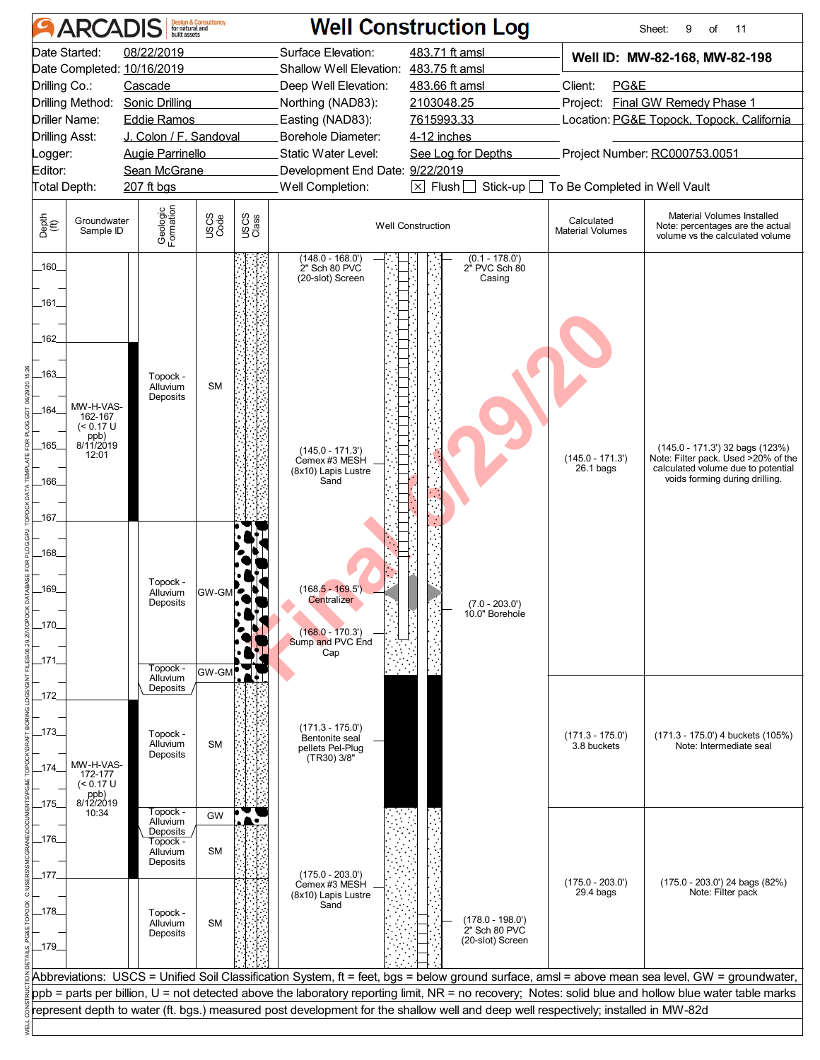|                                                                                                                                                                                                                                                                                                                                                                                                                                                | <b>ARCADIS</b>                                                    |                                                                                                          | <b>Design &amp; Consultancy</b><br>for natural and |                                                                                                                                                                                                                                                                                                                           |                                                                         | <b>Well Construction Log</b>                                                                                                                                       |                                                                                                                                                | Sheet:<br>9<br>of<br>11                                                                           |
|------------------------------------------------------------------------------------------------------------------------------------------------------------------------------------------------------------------------------------------------------------------------------------------------------------------------------------------------------------------------------------------------------------------------------------------------|-------------------------------------------------------------------|----------------------------------------------------------------------------------------------------------|----------------------------------------------------|---------------------------------------------------------------------------------------------------------------------------------------------------------------------------------------------------------------------------------------------------------------------------------------------------------------------------|-------------------------------------------------------------------------|--------------------------------------------------------------------------------------------------------------------------------------------------------------------|------------------------------------------------------------------------------------------------------------------------------------------------|---------------------------------------------------------------------------------------------------|
| Date Started:<br>08/22/2019<br>Date Completed: 10/16/2019<br>Drilling Co.:<br>Cascade<br>Drilling Method:<br><b>Sonic Drilling</b><br>Driller Name:<br><b>Eddie Ramos</b><br><b>Drilling Asst:</b><br>J. Colon / F. Sandoval<br><b>Augie Parrinello</b><br>Logger:<br>Editor:<br>Sean McGrane                                                                                                                                                  |                                                                   |                                                                                                          |                                                    | Surface Elevation:<br>483.71 ft amsl<br>Shallow Well Elevation: 483.75 ft amsl<br>483.66 ft amsl<br>Deep Well Elevation:<br>Northing (NAD83):<br>2103048.25<br>Easting (NAD83):<br>7615993.33<br><b>Borehole Diameter:</b><br>4-12 inches<br>Static Water Level:<br>See Log for Depths<br>Development End Date: 9/22/2019 |                                                                         | Well ID: MW-82-168, MW-82-198<br>Client:<br>PG&E<br>Project: Final GW Remedy Phase 1<br>Location: PG&E Topock, Topock, California<br>Project Number: RC000753.0051 |                                                                                                                                                |                                                                                                   |
| Total Depth:<br>Depth<br>(ff)                                                                                                                                                                                                                                                                                                                                                                                                                  | Groundwater<br>Sample ID                                          | 207 ft bgs<br>Geologic<br>Formation                                                                      | USCS<br>Code                                       | USCS<br>Class                                                                                                                                                                                                                                                                                                             | Well Completion:                                                        | $\boxtimes$ Flush $\Box$<br>Stick-up $\square$<br><b>Well Construction</b>                                                                                         | To Be Completed in Well Vault<br>Calculated<br><b>Material Volumes</b>                                                                         | Material Volumes Installed<br>Note: percentages are the actual<br>volume vs the calculated volume |
| $-160$<br>_161_<br>162<br>-163<br>$-164$<br>_165_<br>_166_<br>167<br>$-168$<br>_169_<br>$-170-$<br>_171_                                                                                                                                                                                                                                                                                                                                       | MW-H-VAS-<br>162-167<br>$(< 0.17$ U<br>ppb)<br>8/11/2019<br>12:01 | Topock -<br>Alluvium<br>Deposits<br>Topock -<br>Alluvium<br>Deposits                                     | <b>SM</b>                                          | $(148.0 - 168.0')$<br>$(0.1 - 178.0')$<br>2" Sch 80 PVC<br>2" PVC Sch 80<br>(20-slot) Screen<br>Casing<br>$(145.0 - 171.3')$<br>Cemex #3 MESH<br>(8x10) Lapis Lustre<br>Sand<br>$(168.5 - 169.5)$<br>GW-GM<br><b>Centralizer</b><br>$(7.0 - 203.0')$<br>10.0" Borehole<br>$(168.0 - 170.3')$<br>Sump and PVC End<br>Cap   |                                                                         | $(145.0 - 171.3)$<br>26.1 bags                                                                                                                                     | (145.0 - 171.3') 32 bags (123%)<br>Note: Filter pack. Used >20% of the<br>calculated volume due to potential<br>voids forming during drilling. |                                                                                                   |
| _172_<br>_173_<br>_174_                                                                                                                                                                                                                                                                                                                                                                                                                        | MW-H-VAS-<br>172-177<br>$(< 0.17$ U<br>ppb)<br>8/12/2019          | Topock -<br>Alluvium<br>Deposits<br>Topock -<br>Alluvium<br>Deposits                                     | GW-GM<br><b>SM</b>                                 |                                                                                                                                                                                                                                                                                                                           | $(171.3 - 175.0')$<br>Bentonite seal<br>pellets Pel-Plug<br>(TR30) 3/8" |                                                                                                                                                                    | $(171.3 - 175.0')$<br>3.8 buckets                                                                                                              | (171.3 - 175.0') 4 buckets (105%)<br>Note: Intermediate seal                                      |
| _175_<br>_176_<br>_177_<br>$-178$<br>$-179$                                                                                                                                                                                                                                                                                                                                                                                                    | 10:34                                                             | Topock -<br>Alluvium<br>Deposits<br>Topock -<br>Alluvium<br>Deposits<br>Topock -<br>Alluvium<br>Deposits | GW<br><b>SM</b><br><b>SM</b>                       |                                                                                                                                                                                                                                                                                                                           | $(175.0 - 203.0')$<br>Cemex #3 MESH<br>(8x10) Lapis Lustre<br>Sand      | $(178.0 - 198.0')$<br>2" Sch 80 PVC<br>(20-slot) Screen                                                                                                            | $(175.0 - 203.0')$<br>$29.4$ bags                                                                                                              | (175.0 - 203.0') 24 bags (82%)<br>Note: Filter pack                                               |
| Abbreviations: USCS = Unified Soil Classification System, ft = feet, bgs = below ground surface, amsl = above mean sea level, GW = groundwater,<br>ppb = parts per billion, U = not detected above the laboratory reporting limit, NR = no recovery; Notes: solid blue and hollow blue water table marks<br>represent depth to water (ft. bgs.) measured post development for the shallow well and deep well respectively; installed in MW-82d |                                                                   |                                                                                                          |                                                    |                                                                                                                                                                                                                                                                                                                           |                                                                         |                                                                                                                                                                    |                                                                                                                                                |                                                                                                   |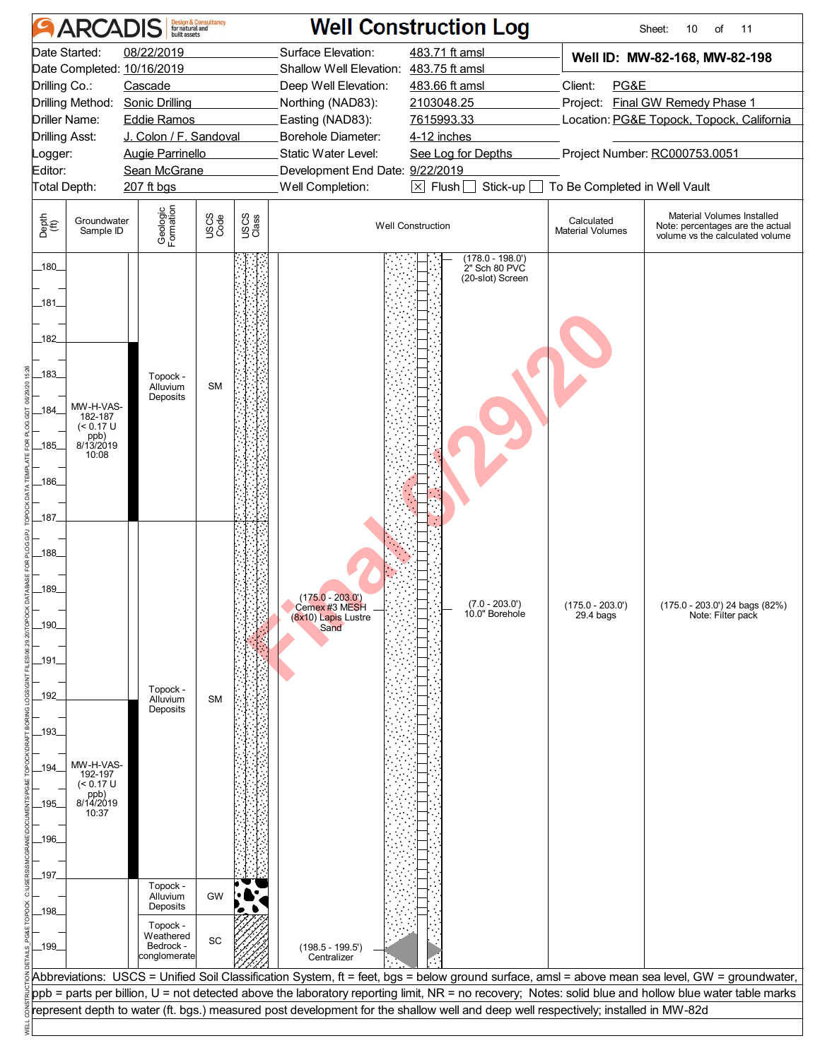| <b>ARCADIS</b>                                                                                                                                                                                                                                                                      | <b>Design &amp; Consultancy</b><br>for natural and<br>built assets                                                                                      |                                    |                                                                                                                                                                                                                                                                                                                                                                                          |                                                                                          | <b>Well Construction Log</b>                                                                                                                                                                        |                                       | Sheet:<br>11<br>10<br>of                                                                                                                                                                                                                                                                                 |
|-------------------------------------------------------------------------------------------------------------------------------------------------------------------------------------------------------------------------------------------------------------------------------------|---------------------------------------------------------------------------------------------------------------------------------------------------------|------------------------------------|------------------------------------------------------------------------------------------------------------------------------------------------------------------------------------------------------------------------------------------------------------------------------------------------------------------------------------------------------------------------------------------|------------------------------------------------------------------------------------------|-----------------------------------------------------------------------------------------------------------------------------------------------------------------------------------------------------|---------------------------------------|----------------------------------------------------------------------------------------------------------------------------------------------------------------------------------------------------------------------------------------------------------------------------------------------------------|
| Date Started:<br>Date Completed: 10/16/2019<br>Drilling Co.:<br>Drilling Method:<br>Driller Name:<br><b>Drilling Asst:</b><br>Logger:<br>Editor:<br>Total Depth:                                                                                                                    | 08/22/2019<br>Cascade<br><b>Sonic Drilling</b><br><b>Eddie Ramos</b><br>J. Colon / F. Sandoval<br><b>Augie Parrinello</b><br>Sean McGrane<br>207 ft bgs |                                    | 483.71 ft amsl<br>Surface Elevation:<br>Shallow Well Elevation: 483.75 ft amsl<br>483.66 ft amsl<br>Deep Well Elevation:<br>Northing (NAD83):<br>2103048.25<br>Easting (NAD83):<br>7615993.33<br>Borehole Diameter:<br>4-12 inches<br>Static Water Level:<br>See Log for Depths<br>Development End Date: 9/22/2019<br>$\boxtimes$ Flush $\Box$<br>Stick-up $\square$<br>Well Completion: |                                                                                          | Well ID: MW-82-168, MW-82-198<br>Client:<br>PG&E<br>Project: Final GW Remedy Phase 1<br>Location: PG&E Topock, Topock, California<br>Project Number: RC000753.0051<br>To Be Completed in Well Vault |                                       |                                                                                                                                                                                                                                                                                                          |
| Depth<br>(ff)<br>Groundwater<br>Sample ID                                                                                                                                                                                                                                           | Geologic<br>Formation                                                                                                                                   | USCS<br>Code                       | USCS<br>Class                                                                                                                                                                                                                                                                                                                                                                            |                                                                                          | Well Construction                                                                                                                                                                                   | Calculated<br><b>Material Volumes</b> | Material Volumes Installed<br>Note: percentages are the actual<br>volume vs the calculated volume                                                                                                                                                                                                        |
| 180<br>181<br>182<br>183.<br>MW-H-VAS-<br>184<br>182-187<br>$(< 0.17$ U<br>ppb)<br>8/13/2019<br>185<br>10:08<br>186<br>187<br>188<br>189<br>190.<br>191.<br>192<br>193<br>MW-H-VAS-<br>194<br>192-197<br>(< 0.17 U<br>ppb)<br>8/14/2019<br>195<br>10:37<br>196<br>197<br>198<br>199 | Topock -<br>Alluvium<br>Deposits<br>Topock -<br>Alluvium<br>Deposits<br>Topock -<br>Alluvium<br>Deposits<br>Topock -<br>Weathered<br>Bedrock -          | <b>SM</b><br><b>SM</b><br>GW<br>SC |                                                                                                                                                                                                                                                                                                                                                                                          | $(175.0 - 203.0')$<br>Cemex #3 MESH<br>(8x10) Lapis Lustre<br>Sand<br>$(198.5 - 199.5')$ | $(178.0 - 198.0')$<br>2" Sch 80 PVC<br>(20-slot) Screen<br>$(7.0 - 203.0')$<br>10.0" Borehole                                                                                                       | $(175.0 - 203.0')$<br>29.4 bags       | (175.0 - 203.0') 24 bags (82%)<br>Note: Filter pack                                                                                                                                                                                                                                                      |
|                                                                                                                                                                                                                                                                                     | conglomerate                                                                                                                                            |                                    |                                                                                                                                                                                                                                                                                                                                                                                          | Centralizer                                                                              |                                                                                                                                                                                                     |                                       |                                                                                                                                                                                                                                                                                                          |
|                                                                                                                                                                                                                                                                                     |                                                                                                                                                         |                                    |                                                                                                                                                                                                                                                                                                                                                                                          |                                                                                          | represent depth to water (ft. bgs.) measured post development for the shallow well and deep well respectively; installed in MW-82d                                                                  |                                       | Abbreviations: USCS = Unified Soil Classification System, ft = feet, bgs = below ground surface, amsl = above mean sea level, GW = groundwater,<br>ppb = parts per billion, U = not detected above the laboratory reporting limit, NR = no recovery; Notes: solid blue and hollow blue water table marks |